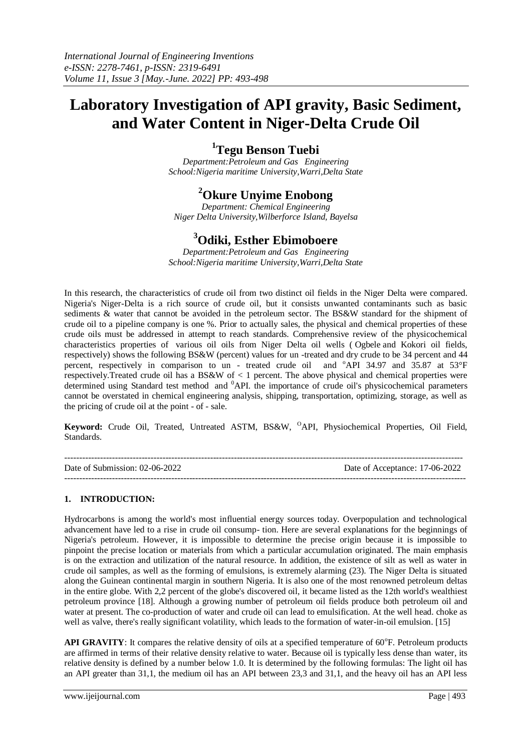# **Laboratory Investigation of API gravity, Basic Sediment, and Water Content in Niger-Delta Crude Oil**

# **<sup>1</sup>Tegu Benson Tuebi**

*Department:Petroleum and Gas Engineering School:Nigeria maritime University,Warri,Delta State*

# **<sup>2</sup>Okure Unyime Enobong**

*Department: Chemical Engineering Niger Delta University,Wilberforce Island, Bayelsa*

## **<sup>3</sup>Odiki, Esther Ebimoboere**

*Department:Petroleum and Gas Engineering School:Nigeria maritime University,Warri,Delta State*

In this research, the characteristics of crude oil from two distinct oil fields in the Niger Delta were compared. Nigeria's Niger-Delta is a rich source of crude oil, but it consists unwanted contaminants such as basic sediments & water that cannot be avoided in the petroleum sector. The BS&W standard for the shipment of crude oil to a pipeline company is one %. Prior to actually sales, the physical and chemical properties of these crude oils must be addressed in attempt to reach standards. Comprehensive review of the physicochemical characteristics properties of various oil oils from Niger Delta oil wells ( Ogbele and Kokori oil fields, respectively) shows the following BS&W (percent) values for un -treated and dry crude to be 34 percent and 44 percent, respectively in comparison to un - treated crude oil and <sup>o</sup>API 34.97 and 35.87 at 53°F respectively. Treated crude oil has a BS&W of  $\lt 1$  percent. The above physical and chemical properties were determined using Standard test method and <sup>0</sup>API. the importance of crude oil's physicochemical parameters cannot be overstated in chemical engineering analysis, shipping, transportation, optimizing, storage, as well as the pricing of crude oil at the point - of - sale.

**Keyword:** Crude Oil, Treated, Untreated ASTM, BS&W, <sup>O</sup>API, Physiochemical Properties, Oil Field, Standards.

-------------------------------------------------------------------------------------------------------------------------------------- Date of Submission: 02-06-2022 Date of Acceptance: 17-06-2022 ---------------------------------------------------------------------------------------------------------------------------------------

### **1. INTRODUCTION:**

Hydrocarbons is among the world's most influential energy sources today. Overpopulation and technological advancement have led to a rise in crude oil consump- tion. Here are several explanations for the beginnings of Nigeria's petroleum. However, it is impossible to determine the precise origin because it is impossible to pinpoint the precise location or materials from which a particular accumulation originated. The main emphasis is on the extraction and utilization of the natural resource. In addition, the existence of silt as well as water in crude oil samples, as well as the forming of emulsions, is extremely alarming (23). The Niger Delta is situated along the Guinean continental margin in southern Nigeria. It is also one of the most renowned petroleum deltas in the entire globe. With 2,2 percent of the globe's discovered oil, it became listed as the 12th world's wealthiest petroleum province [18]. Although a growing number of petroleum oil fields produce both petroleum oil and water at present. The co-production of water and crude oil can lead to emulsification. At the well head. choke as well as valve, there's really significant volatility, which leads to the formation of water-in-oil emulsion. [15]

API GRAVITY: It compares the relative density of oils at a specified temperature of 60°F. Petroleum products are affirmed in terms of their relative density relative to water. Because oil is typically less dense than water, its relative density is defined by a number below 1.0. It is determined by the following formulas: The light oil has an API greater than 31,1, the medium oil has an API between 23,3 and 31,1, and the heavy oil has an API less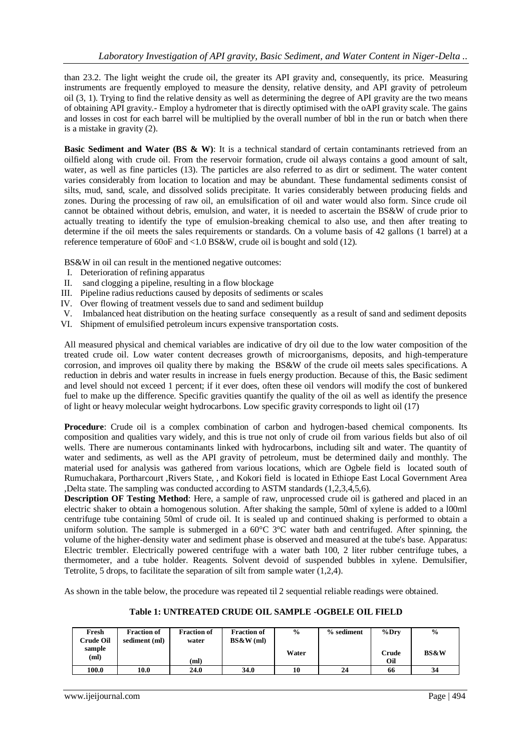than 23.2. The light weight the crude oil, the greater its API gravity and, consequently, its price. Measuring instruments are frequently employed to measure the density, relative density, and API gravity of petroleum oil (3, 1). Trying to find the relative density as well as determining the degree of API gravity are the two means of obtaining API gravity.- Employ a hydrometer that is directly optimised with the oAPI gravity scale. The gains and losses in cost for each barrel will be multiplied by the overall number of bbl in the run or batch when there is a mistake in gravity (2).

**Basic Sediment and Water (BS & W)**: It is a technical standard of certain contaminants retrieved from an oilfield along with crude oil. From the reservoir formation, crude oil always contains a good amount of salt, water, as well as fine particles (13). The particles are also referred to as dirt or sediment. The water content varies considerably from location to location and may be abundant. These fundamental sediments consist of silts, mud, sand, scale, and dissolved solids precipitate. It varies considerably between producing fields and zones. During the processing of raw oil, an emulsification of oil and water would also form. Since crude oil cannot be obtained without debris, emulsion, and water, it is needed to ascertain the BS&W of crude prior to actually treating to identify the type of emulsion-breaking chemical to also use, and then after treating to determine if the oil meets the sales requirements or standards. On a volume basis of 42 gallons (1 barrel) at a reference temperature of 60oF and <1.0 BS&W, crude oil is bought and sold (12).

BS&W in oil can result in the mentioned negative outcomes:

- I. Deterioration of refining apparatus
- II. sand clogging a pipeline, resulting in a flow blockage
- III. Pipeline radius reductions caused by deposits of sediments or scales
- IV. Over flowing of treatment vessels due to sand and sediment buildup
- V. Imbalanced heat distribution on the heating surface consequently as a result of sand and sediment deposits
- VI. Shipment of emulsified petroleum incurs expensive transportation costs.

All measured physical and chemical variables are indicative of dry oil due to the low water composition of the treated crude oil. Low water content decreases growth of microorganisms, deposits, and high-temperature corrosion, and improves oil quality there by making the BS&W of the crude oil meets sales specifications. A reduction in debris and water results in increase in fuels energy production. Because of this, the Basic sediment and level should not exceed 1 percent; if it ever does, often these oil vendors will modify the cost of bunkered fuel to make up the difference. Specific gravities quantify the quality of the oil as well as identify the presence of light or heavy molecular weight hydrocarbons. Low specific gravity corresponds to light oil (17)

**Procedure**: Crude oil is a complex combination of carbon and hydrogen-based chemical components. Its composition and qualities vary widely, and this is true not only of crude oil from various fields but also of oil wells. There are numerous contaminants linked with hydrocarbons, including silt and water. The quantity of water and sediments, as well as the API gravity of petroleum, must be determined daily and monthly. The material used for analysis was gathered from various locations, which are Ogbele field is located south of Rumuchakara, Portharcourt ,Rivers State, , and Kokori field is located in Ethiope East Local Government Area ,Delta state. The sampling was conducted according to ASTM standards (1,2,3,4,5,6).

**Description OF Testing Method**: Here, a sample of raw, unprocessed crude oil is gathered and placed in an electric shaker to obtain a homogenous solution. After shaking the sample, 50ml of xylene is added to a l00ml centrifuge tube containing 50ml of crude oil. It is sealed up and continued shaking is performed to obtain a uniform solution. The sample is submerged in a  $60^{\circ}$ C  $3^{\circ}$ C water bath and centrifuged. After spinning, the volume of the higher-density water and sediment phase is observed and measured at the tube's base. Apparatus: Electric trembler. Electrically powered centrifuge with a water bath 100, 2 liter rubber centrifuge tubes, a thermometer, and a tube holder. Reagents. Solvent devoid of suspended bubbles in xylene. Demulsifier, Tetrolite, 5 drops, to facilitate the separation of silt from sample water (1,2,4).

As shown in the table below, the procedure was repeated til 2 sequential reliable readings were obtained.

### **Table 1: UNTREATED CRUDE OIL SAMPLE -OGBELE OIL FIELD**

| Fresh<br>Crude Oil | <b>Fraction of</b><br>sediment (ml) | <b>Fraction of</b><br>water | <b>Fraction of</b><br>BS&W(ml) | $\frac{0}{0}$ | % sediment | %Drv         | $\frac{0}{0}$   |
|--------------------|-------------------------------------|-----------------------------|--------------------------------|---------------|------------|--------------|-----------------|
| sample<br>(ml)     |                                     | (ml)                        |                                | Water         |            | Crude<br>Oil | <b>BS&amp;W</b> |
| 100.0              | 10.0                                | 24.0                        | 34.0                           | 10            | 24         | 66           | 34              |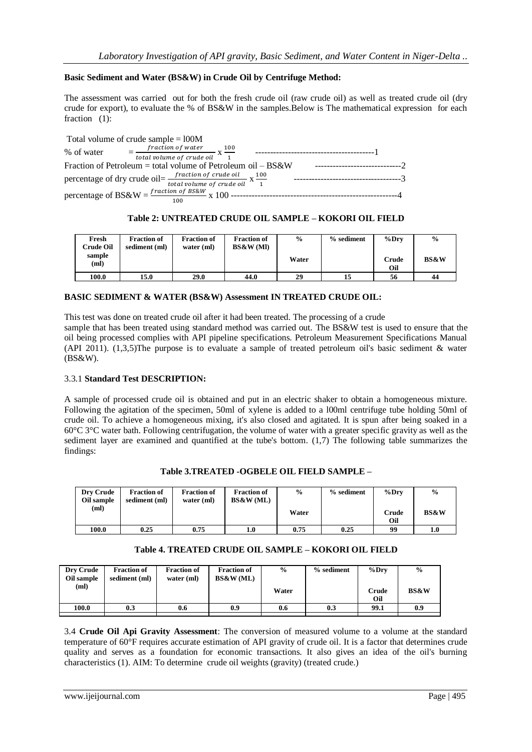#### **Basic Sediment and Water (BS&W) in Crude Oil by Centrifuge Method:**

The assessment was carried out for both the fresh crude oil (raw crude oil) as well as treated crude oil (dry crude for export), to evaluate the % of BS&W in the samples.Below is The mathematical expression for each fraction (1):

| Total volume of crude sample $= 100M$                                                                              |  |
|--------------------------------------------------------------------------------------------------------------------|--|
| $=$ fraction of water $\frac{100}{x}$<br>% of water<br>$\frac{1}{\pi}$ total volume of crude oil $X - 1$           |  |
| Fraction of Petroleum = total volume of Petroleum oil $-$ BS&W                                                     |  |
| percentage of dry crude oil= $\frac{fraction\ of\ crude\ oil}{total\ volume\ of\ crude\ oil} \times \frac{100}{1}$ |  |
| 100                                                                                                                |  |

#### **Table 2: UNTREATED CRUDE OIL SAMPLE – KOKORI OIL FIELD**

| Fresh<br><b>Crude Oil</b> | <b>Fraction of</b><br>sediment (ml) | <b>Fraction of</b><br>water $(ml)$ | <b>Fraction of</b><br>BS&W(MI) | $\frac{6}{9}$ | % sediment | $\%$ Drv     | $\frac{0}{0}$   |
|---------------------------|-------------------------------------|------------------------------------|--------------------------------|---------------|------------|--------------|-----------------|
| sample<br>(ml)            |                                     |                                    |                                | Water         |            | Crude<br>Oil | <b>BS&amp;W</b> |
| 100.0                     | 15.0                                | 29.0                               | 44.0                           | 29            | 15         | 56           | 44              |

#### **BASIC SEDIMENT & WATER (BS&W) Assessment IN TREATED CRUDE OIL:**

This test was done on treated crude oil after it had been treated. The processing of a crude sample that has been treated using standard method was carried out. The BS&W test is used to ensure that the oil being processed complies with API pipeline specifications. Petroleum Measurement Specifications Manual (API 2011). (1,3,5)The purpose is to evaluate a sample of treated petroleum oil's basic sediment & water (BS&W).

#### 3.3.1 **Standard Test DESCRIPTION:**

A sample of processed crude oil is obtained and put in an electric shaker to obtain a homogeneous mixture. Following the agitation of the specimen, 50ml of xylene is added to a l00ml centrifuge tube holding 50ml of crude oil. To achieve a homogeneous mixing, it's also closed and agitated. It is spun after being soaked in a 60°C 3°C water bath. Following centrifugation, the volume of water with a greater specific gravity as well as the sediment layer are examined and quantified at the tube's bottom. (1,7) The following table summarizes the findings:

| Dry Crude<br>Oil sample | <b>Fraction of</b><br>sediment (ml) | <b>Fraction of</b><br>water $(ml)$ | <b>Fraction of</b><br>BS&W(ML) | $\frac{0}{0}$ | % sediment | $\%$ Drv     | $\frac{0}{0}$   |
|-------------------------|-------------------------------------|------------------------------------|--------------------------------|---------------|------------|--------------|-----------------|
| (ml)                    |                                     |                                    |                                | Water         |            | Crude<br>Oil | <b>BS&amp;W</b> |
| 100.0                   | 0.25                                | 0.75                               | 1.0                            | 0.75          | 0.25       | 99           |                 |

#### **Table 3.TREATED -OGBELE OIL FIELD SAMPLE –**

| Table 4. TREATED CRUDE OIL SAMPLE – KOKORI OIL FIELD |  |  |  |
|------------------------------------------------------|--|--|--|
|------------------------------------------------------|--|--|--|

| <b>Dry Crude</b><br>Oil sample | <b>Fraction of</b><br>sediment (ml) | <b>Fraction of</b><br>water $(ml)$ | <b>Fraction of</b><br>BS&W(ML) | $\frac{0}{0}$ | % sediment | $\%$ Drv     | $\frac{0}{0}$   |
|--------------------------------|-------------------------------------|------------------------------------|--------------------------------|---------------|------------|--------------|-----------------|
| (ml)                           |                                     |                                    |                                | Water         |            | Crude<br>Oil | <b>BS&amp;W</b> |
| 100.0                          | 0.3                                 | 0.6                                | 0.9                            | 0.6           | 0.3        | 99.1         | 0.9             |
|                                |                                     |                                    |                                |               |            |              |                 |

3.4 **Crude Oil Api Gravity Assessment**: The conversion of measured volume to a volume at the standard temperature of 60°F requires accurate estimation of API gravity of crude oil. It is a factor that determines crude quality and serves as a foundation for economic transactions. It also gives an idea of the oil's burning characteristics (1). AIM: To determine crude oil weights (gravity) (treated crude.)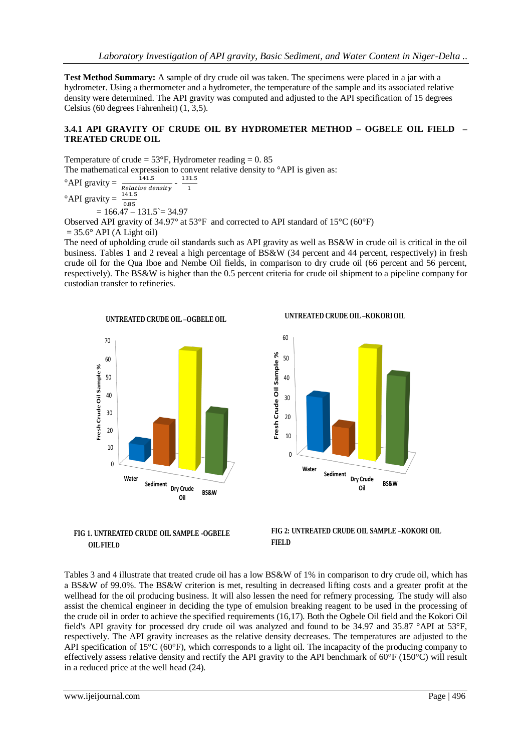**Test Method Summary:** A sample of dry crude oil was taken. The specimens were placed in a jar with a hydrometer. Using a thermometer and a hydrometer, the temperature of the sample and its associated relative density were determined. The API gravity was computed and adjusted to the API specification of 15 degrees Celsius (60 degrees Fahrenheit) (1, 3,5).

### **3.4.1 API GRAVITY OF CRUDE OIL BY HYDROMETER METHOD – OGBELE OIL FIELD – TREATED CRUDE OIL**

Temperature of crude =  $53^{\circ}$ F, Hydrometer reading = 0.85 The mathematical expression to convent relative density to  $^{\circ}$ API is given as:  $\degree$ API gravity  $=$ Relative density<br>141.5 - 131.5  $\mathbf{1}$  $^{\circ}$ API gravity =  $0.85$  $= 166.47 - 131.5 = 34.97$ Observed API gravity of 34.97° at 53°F and corrected to API standard of 15°C (60°F)  $= 35.6^\circ$  API (A Light oil)

The need of upholding crude oil standards such as API gravity as well as BS&W in crude oil is critical in the oil business. Tables 1 and 2 reveal a high percentage of BS&W (34 percent and 44 percent, respectively) in fresh crude oil for the Qua Iboe and Nembe Oil fields, in comparison to dry crude oil (66 percent and 56 percent, respectively). The BS&W is higher than the 0.5 percent criteria for crude oil shipment to a pipeline company for custodian transfer to refineries.





**UNTREATED CRUDE OIL –KOKORI OIL**





Tables 3 and 4 illustrate that treated crude oil has a low BS&W of 1% in comparison to dry crude oil, which has a BS&W of 99.0%. The BS&W criterion is met, resulting in decreased lifting costs and a greater profit at the wellhead for the oil producing business. It will also lessen the need for refmery processing. The study will also assist the chemical engineer in deciding the type of emulsion breaking reagent to be used in the processing of the crude oil in order to achieve the specified requirements (16,17). Both the Ogbele Oil field and the Kokori Oil field's API gravity for processed dry crude oil was analyzed and found to be 34.97 and 35.87 °API at 53°F, respectively. The API gravity increases as the relative density decreases. The temperatures are adjusted to the API specification of 15°C (60°F), which corresponds to a light oil. The incapacity of the producing company to effectively assess relative density and rectify the API gravity to the API benchmark of 60°F (150°C) will result in a reduced price at the well head (24).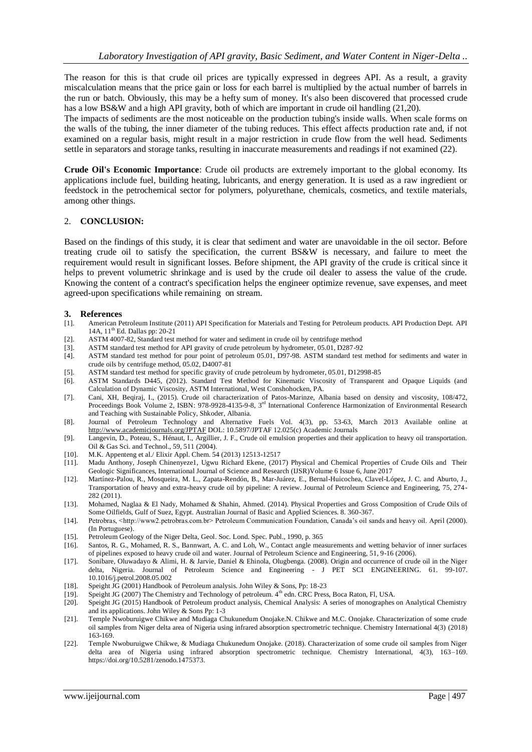The reason for this is that crude oil prices are typically expressed in degrees API. As a result, a gravity miscalculation means that the price gain or loss for each barrel is multiplied by the actual number of barrels in the run or batch. Obviously, this may be a hefty sum of money. It's also been discovered that processed crude has a low BS&W and a high API gravity, both of which are important in crude oil handling (21,20).

The impacts of sediments are the most noticeable on the production tubing's inside walls. When scale forms on the walls of the tubing, the inner diameter of the tubing reduces. This effect affects production rate and, if not examined on a regular basis, might result in a major restriction in crude flow from the well head. Sediments settle in separators and storage tanks, resulting in inaccurate measurements and readings if not examined (22).

**Crude Oil's Economic Importance**: Crude oil products are extremely important to the global economy. Its applications include fuel, building heating, lubricants, and energy generation. It is used as a raw ingredient or feedstock in the petrochemical sector for polymers, polyurethane, chemicals, cosmetics, and textile materials, among other things.

#### 2. **CONCLUSION:**

Based on the findings of this study, it is clear that sediment and water are unavoidable in the oil sector. Before treating crude oil to satisfy the specification, the current BS&W is necessary, and failure to meet the requirement would result in significant losses. Before shipment, the API gravity of the crude is critical since it helps to prevent volumetric shrinkage and is used by the crude oil dealer to assess the value of the crude. Knowing the content of a contract's specification helps the engineer optimize revenue, save expenses, and meet agreed-upon specifications while remaining on stream.

#### **3. References**

- [1]. American Petroleum Institute (2011) API Specification for Materials and Testing for Petroleum products. API Production Dept. API 14A, 11th Ed. Dallas pp: 20-21
- [2]. ASTM 4007-82, Standard test method for water and sediment in crude oil by centrifuge method
- [3]. ASTM standard test method for API gravity of crude petroleum by hydrometer, 05.01, D287-92<br>[4]. ASTM standard test method for pour point of petroleum 05.01, D97-98. ASTM standard test
- [4]. ASTM standard test method for pour point of petroleum 05.01, D97-98. ASTM standard test method for sediments and water in crude oils by centrifuge method,  $\overline{05.02}$ , D4007-81
- [5]. ASTM standard test method for specific gravity of crude petroleum by hydrometer, 05.01, D12998-85
- [6]. ASTM Standards D445, (2012). Standard Test Method for Kinematic Viscosity of Transparent and Opaque Liquids (and Calculation of Dynamic Viscosity, ASTM International, West Conshohocken, PA.
- [7]. Cani, XH, Beqiraj, I., (2015). Crude oil characterization of Patos-Marinze, Albania based on density and viscosity, 108/472, Proceedings Book Volume 2, ISBN: 978-9928-4135-9-8, 3rd International Conference Harmonization of Environmental Research and Teaching with Sustainable Policy, Shkoder, Albania.
- [8]. Journal of Petroleum Technology and Alternative Fuels Vol. 4(3), pp. 53-63, March 2013 Available online at <http://www.academicjournals.org/JPTAF> DOL: 10.5897/JPTAF 12.025(c) Academic Journals
- [9]. Langevin, D., Poteau, S., Hénaut, I., Argillier, J. F., Crude oil emulsion properties and their application to heavy oil transportation. Oil & Gas Sci. and Technol., 59, 511 (2004).
- [10]. M.K. Appenteng et al./ Elixir Appl. Chem. 54 (2013) 12513-12517
- [11]. Madu Anthony, Joseph Chinenyeze1, Ugwu Richard Ekene, (2017) Physical and Chemical Properties of Crude Oils and Their Geologic Significances, International Journal of Science and Research (IJSR)Volume 6 Issue 6, June 2017
- [12]. Martínez-Palou, R., Mosqueira, M. L., Zapata-Rendón, B., Mar-Juárez, E., Bernal-Huicochea, Clavel-López, J. C. and Aburto, J., Transportation of heavy and extra-heavy crude oil by pipeline: A review. Journal of Petroleum Science and Engineering, 75, 274- 282 (2011).
- [13]. Mohamed, Naglaa & El Nady, Mohamed & Shahin, Ahmed. (2014). Physical Properties and Gross Composition of Crude Oils of Some Oilfields, Gulf of Suez, Egypt. Australian Journal of Basic and Applied Sciences. 8. 360-367.
- [14]. Petrobras, <http://www2.petrobras.com.br> Petroleum Communication Foundation, Canada's oil sands and heavy oil. April (2000). (In Portuguese).
- [15]. Petroleum Geology of the Niger Delta, Geol. Soc. Lond. Spec. Publ., 1990, p. 365
- [16]. Santos, R. G., Mohamed, R. S., Bannwart, A. C. and Loh, W., Contact angle measurements and wetting behavior of inner surfaces of pipelines exposed to heavy crude oil and water. Journal of Petroleum Science and Engineering, 51, 9-16 (2006).
- [17]. Sonibare, Oluwadayo & Alimi, H. & Jarvie, Daniel & Ehinola, Olugbenga. (2008). Origin and occurrence of crude oil in the Niger delta, Nigeria. Journal of Petroleum Science and Engineering - J PET SCI ENGINEERING. 61. 99-107. 10.1016/j.petrol.2008.05.002
- [18]. Speight JG (2001) Handbook of Petroleum analysis. John Wiley & Sons, Pp: 18-23
- [19]. Speight JG (2007) The Chemistry and Technology of petroleum. 4th edn. CRC Press, Boca Raton, Fl, USA.
- [20]. Speight JG (2015) Handbook of Petroleum product analysis, Chemical Analysis: A series of monographes on Analytical Chemistry and its applications. John Wiley & Sons Pp: 1-3
- [21]. Temple Nwoburuigwe Chikwe and Mudiaga Chukunedum Onojake.N. Chikwe and M.C. Onojake. Characterization of some crude oil samples from Niger delta area of Nigeria using infrared absorption spectrometric technique. Chemistry International 4(3) (2018) 163-169.
- [22]. Temple Nwoburuigwe Chikwe, & Mudiaga Chukunedum Onojake. (2018). Characterization of some crude oil samples from Niger delta area of Nigeria using infrared absorption spectrometric technique. Chemistry International, 4(3), 163–169. https://doi.org/10.5281/zenodo.1475373.